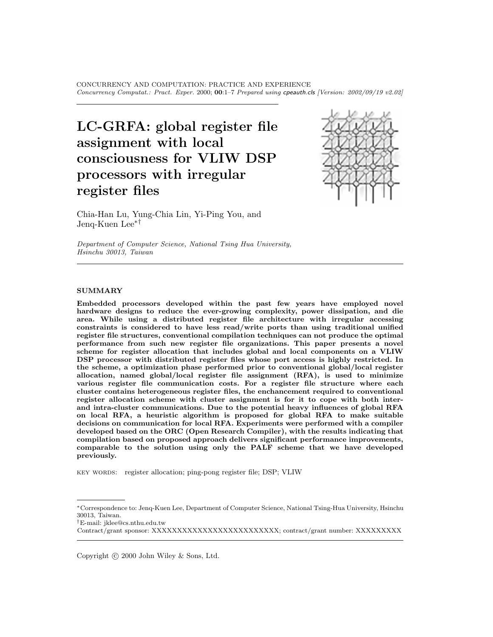CONCURRENCY AND COMPUTATION: PRACTICE AND EXPERIENCE Concurrency Computat.: Pract. Exper. 2000; 00:1–7 Prepared using cpeauth.cls [Version: 2002/09/19 v2.02]

# LC-GRFA: global register file assignment with local consciousness for VLIW DSP processors with irregular register files



Chia-Han Lu, Yung-Chia Lin, Yi-Ping You, and Jenq-Kuen Lee∗†

Department of Computer Science, National Tsing Hua University, Hsinchu 30013, Taiwan

# SUMMARY

Embedded processors developed within the past few years have employed novel hardware designs to reduce the ever-growing complexity, power dissipation, and die area. While using a distributed register file architecture with irregular accessing constraints is considered to have less read/write ports than using traditional unified register file structures, conventional compilation techniques can not produce the optimal performance from such new register file organizations. This paper presents a novel scheme for register allocation that includes global and local components on a VLIW DSP processor with distributed register files whose port access is highly restricted. In the scheme, a optimization phase performed prior to conventional global/local register allocation, named global/local register file assignment (RFA), is used to minimize various register file communication costs. For a register file structure where each cluster contains heterogeneous register files, the enchancement required to conventional register allocation scheme with cluster assignment is for it to cope with both interand intra-cluster communications. Due to the potential heavy influences of global RFA on local RFA, a heuristic algorithm is proposed for global RFA to make suitable decisions on communication for local RFA. Experiments were performed with a compiler developed based on the ORC (Open Research Compiler), with the results indicating that compilation based on proposed approach delivers significant performance improvements, comparable to the solution using only the PALF scheme that we have developed previously.

key words: register allocation; ping-pong register file; DSP; VLIW

Copyright (c) 2000 John Wiley & Sons, Ltd.

<sup>∗</sup>Correspondence to: Jenq-Kuen Lee, Department of Computer Science, National Tsing-Hua University, Hsinchu 30013, Taiwan.

<sup>†</sup>E-mail: jklee@cs.nthu.edu.tw

Contract/grant sponsor: XXXXXXXXXXXXXXXXXXXXXXXXX; contract/grant number: XXXXXXXXX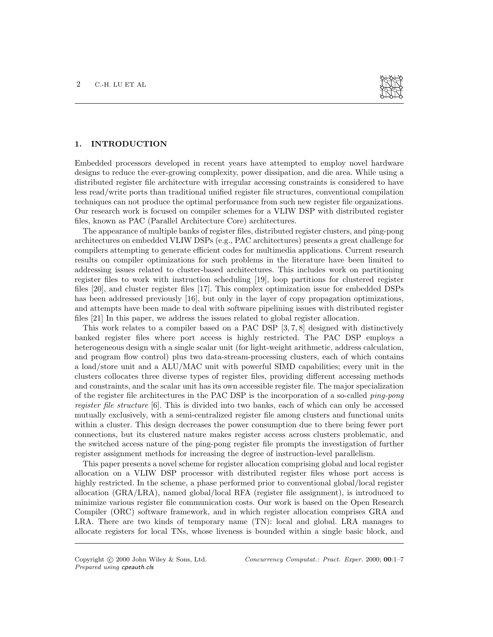

## 1. INTRODUCTION

Embedded processors developed in recent years have attempted to employ novel hardware designs to reduce the ever-growing complexity, power dissipation, and die area. While using a distributed register file architecture with irregular accessing constraints is considered to have less read/write ports than traditional unified register file structures, conventional compilation techniques can not produce the optimal performance from such new register file organizations. Our research work is focused on compiler schemes for a VLIW DSP with distributed register files, known as PAC (Parallel Architecture Core) architectures.

The appearance of multiple banks of register files, distributed register clusters, and ping-pong architectures on embedded VLIW DSPs (e.g., PAC architectures) presents a great challenge for compilers attempting to generate efficient codes for multimedia applications. Current research results on compiler optimizations for such problems in the literature have been limited to addressing issues related to cluster-based architectures. This includes work on partitioning register files to work with instruction scheduling [19], loop partitions for clustered register files [20], and cluster register files [17]. This complex optimization issue for embedded DSPs has been addressed previously  $\vert 16 \vert$ , but only in the layer of copy propagation optimizations, and attempts have been made to deal with software pipelining issues with distributed register files [21] In this paper, we address the issues related to global register allocation.

This work relates to a compiler based on a PAC DSP [3, 7, 8] designed with distinctively banked register files where port access is highly restricted. The PAC DSP employs a heterogeneous design with a single scalar unit (for light-weight arithmetic, address calculation, and program flow control) plus two data-stream-processing clusters, each of which contains a load/store unit and a ALU/MAC unit with powerful SIMD capabilities; every unit in the clusters collocates three diverse types of register files, providing different accessing methods and constraints, and the scalar unit has its own accessible register file. The major specialization of the register file architectures in the PAC DSP is the incorporation of a so-called ping-pong register file structure [6]. This is divided into two banks, each of which can only be accessed mutually exclusively, with a semi-centralized register file among clusters and functional units within a cluster. This design decreases the power consumption due to there being fewer port connections, but its clustered nature makes register access across clusters problematic, and the switched access nature of the ping-pong register file prompts the investigation of further register assignment methods for increasing the degree of instruction-level parallelism.

This paper presents a novel scheme for register allocation comprising global and local register allocation on a VLIW DSP processor with distributed register files whose port access is highly restricted. In the scheme, a phase performed prior to conventional global/local register allocation (GRA/LRA), named global/local RFA (register file assignment), is introduced to minimize various register file communication costs. Our work is based on the Open Research Compiler (ORC) software framework, and in which register allocation comprises GRA and LRA. There are two kinds of temporary name (TN): local and global. LRA manages to allocate registers for local TNs, whose liveness is bounded within a single basic block, and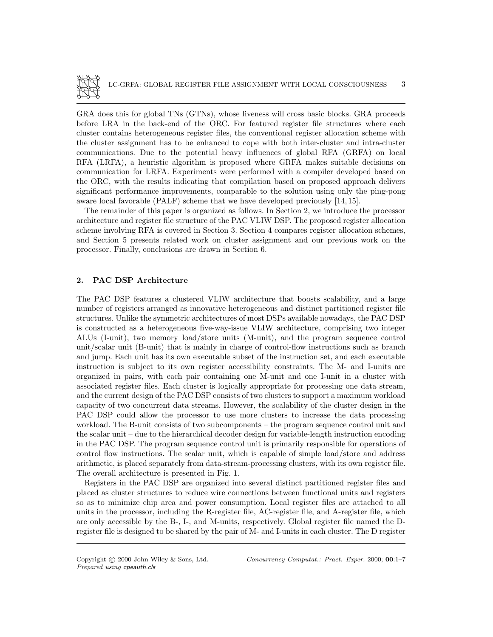

GRA does this for global TNs (GTNs), whose liveness will cross basic blocks. GRA proceeds before LRA in the back-end of the ORC. For featured register file structures where each cluster contains heterogeneous register files, the conventional register allocation scheme with the cluster assignment has to be enhanced to cope with both inter-cluster and intra-cluster communications. Due to the potential heavy influences of global RFA (GRFA) on local RFA (LRFA), a heuristic algorithm is proposed where GRFA makes suitable decisions on communication for LRFA. Experiments were performed with a compiler developed based on the ORC, with the results indicating that compilation based on proposed approach delivers significant performance improvements, comparable to the solution using only the ping-pong aware local favorable (PALF) scheme that we have developed previously [14, 15].

The remainder of this paper is organized as follows. In Section 2, we introduce the processor architecture and register file structure of the PAC VLIW DSP. The proposed register allocation scheme involving RFA is covered in Section 3. Section 4 compares register allocation schemes, and Section 5 presents related work on cluster assignment and our previous work on the processor. Finally, conclusions are drawn in Section 6.

# 2. PAC DSP Architecture

The PAC DSP features a clustered VLIW architecture that boosts scalability, and a large number of registers arranged as innovative heterogeneous and distinct partitioned register file structures. Unlike the symmetric architectures of most DSPs available nowadays, the PAC DSP is constructed as a heterogeneous five-way-issue VLIW architecture, comprising two integer ALUs (I-unit), two memory load/store units (M-unit), and the program sequence control unit/scalar unit (B-unit) that is mainly in charge of control-flow instructions such as branch and jump. Each unit has its own executable subset of the instruction set, and each executable instruction is subject to its own register accessibility constraints. The M- and I-units are organized in pairs, with each pair containing one M-unit and one I-unit in a cluster with associated register files. Each cluster is logically appropriate for processing one data stream, and the current design of the PAC DSP consists of two clusters to support a maximum workload capacity of two concurrent data streams. However, the scalability of the cluster design in the PAC DSP could allow the processor to use more clusters to increase the data processing workload. The B-unit consists of two subcomponents – the program sequence control unit and the scalar unit – due to the hierarchical decoder design for variable-length instruction encoding in the PAC DSP. The program sequence control unit is primarily responsible for operations of control flow instructions. The scalar unit, which is capable of simple load/store and address arithmetic, is placed separately from data-stream-processing clusters, with its own register file. The overall architecture is presented in Fig. 1.

Registers in the PAC DSP are organized into several distinct partitioned register files and placed as cluster structures to reduce wire connections between functional units and registers so as to minimize chip area and power consumption. Local register files are attached to all units in the processor, including the R-register file, AC-register file, and A-register file, which are only accessible by the B-, I-, and M-units, respectively. Global register file named the Dregister file is designed to be shared by the pair of M- and I-units in each cluster. The D register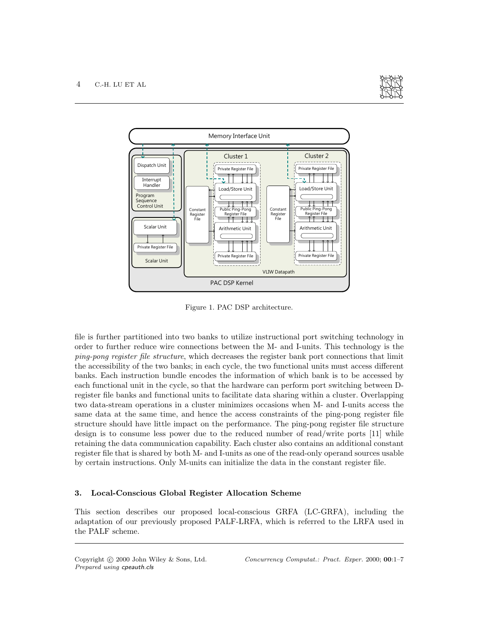



Figure 1. PAC DSP architecture.

file is further partitioned into two banks to utilize instructional port switching technology in order to further reduce wire connections between the M- and I-units. This technology is the ping-pong register file structure, which decreases the register bank port connections that limit the accessibility of the two banks; in each cycle, the two functional units must access different banks. Each instruction bundle encodes the information of which bank is to be accessed by each functional unit in the cycle, so that the hardware can perform port switching between Dregister file banks and functional units to facilitate data sharing within a cluster. Overlapping two data-stream operations in a cluster minimizes occasions when M- and I-units access the same data at the same time, and hence the access constraints of the ping-pong register file structure should have little impact on the performance. The ping-pong register file structure design is to consume less power due to the reduced number of read/write ports [11] while retaining the data communication capability. Each cluster also contains an additional constant register file that is shared by both M- and I-units as one of the read-only operand sources usable by certain instructions. Only M-units can initialize the data in the constant register file.

# 3. Local-Conscious Global Register Allocation Scheme

This section describes our proposed local-conscious GRFA (LC-GRFA), including the adaptation of our previously proposed PALF-LRFA, which is referred to the LRFA used in the PALF scheme.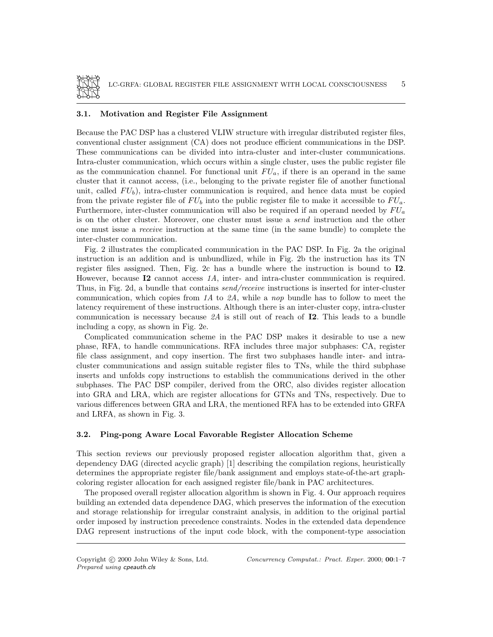

# 3.1. Motivation and Register File Assignment

Because the PAC DSP has a clustered VLIW structure with irregular distributed register files, conventional cluster assignment (CA) does not produce efficient communications in the DSP. These communications can be divided into intra-cluster and inter-cluster communications. Intra-cluster communication, which occurs within a single cluster, uses the public register file as the communication channel. For functional unit  $FU_a$ , if there is an operand in the same cluster that it cannot access, (i.e., belonging to the private register file of another functional unit, called  $FU<sub>b</sub>$ ), intra-cluster communication is required, and hence data must be copied from the private register file of  $FU_b$  into the public register file to make it accessible to  $FU_a$ . Furthermore, inter-cluster communication will also be required if an operand needed by  $FU_a$ is on the other cluster. Moreover, one cluster must issue a send instruction and the other one must issue a receive instruction at the same time (in the same bundle) to complete the inter-cluster communication.

Fig. 2 illustrates the complicated communication in the PAC DSP. In Fig. 2a the original instruction is an addition and is unbundlized, while in Fig. 2b the instruction has its TN register files assigned. Then, Fig. 2c has a bundle where the instruction is bound to I2. However, because I2 cannot access 1A, inter- and intra-cluster communication is required. Thus, in Fig. 2d, a bundle that contains send/receive instructions is inserted for inter-cluster communication, which copies from  $1A$  to  $2A$ , while a nop bundle has to follow to meet the latency requirement of these instructions. Although there is an inter-cluster copy, intra-cluster communication is necessary because  $2A$  is still out of reach of **I2**. This leads to a bundle including a copy, as shown in Fig. 2e.

Complicated communication scheme in the PAC DSP makes it desirable to use a new phase, RFA, to handle communications. RFA includes three major subphases: CA, register file class assignment, and copy insertion. The first two subphases handle inter- and intracluster communications and assign suitable register files to TNs, while the third subphase inserts and unfolds copy instructions to establish the communications derived in the other subphases. The PAC DSP compiler, derived from the ORC, also divides register allocation into GRA and LRA, which are register allocations for GTNs and TNs, respectively. Due to various differences between GRA and LRA, the mentioned RFA has to be extended into GRFA and LRFA, as shown in Fig. 3.

## 3.2. Ping-pong Aware Local Favorable Register Allocation Scheme

This section reviews our previously proposed register allocation algorithm that, given a dependency DAG (directed acyclic graph) [1] describing the compilation regions, heuristically determines the appropriate register file/bank assignment and employs state-of-the-art graphcoloring register allocation for each assigned register file/bank in PAC architectures.

The proposed overall register allocation algorithm is shown in Fig. 4. Our approach requires building an extended data dependence DAG, which preserves the information of the execution and storage relationship for irregular constraint analysis, in addition to the original partial order imposed by instruction precedence constraints. Nodes in the extended data dependence DAG represent instructions of the input code block, with the component-type association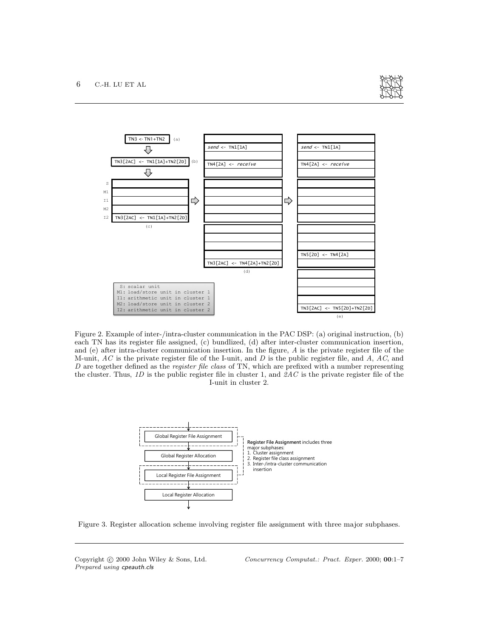



Figure 2. Example of inter-/intra-cluster communication in the PAC DSP: (a) original instruction, (b) each TN has its register file assigned, (c) bundlized, (d) after inter-cluster communication insertion, and (e) after intra-cluster communication insertion. In the figure, A is the private register file of the M-unit,  $AC$  is the private register file of the I-unit, and D is the public register file, and A,  $AC$ , and  $D$  are together defined as the *register file class* of TN, which are prefixed with a number representing the cluster. Thus,  $1D$  is the public register file in cluster 1, and  $2AC$  is the private register file of the I-unit in cluster 2.



Figure 3. Register allocation scheme involving register file assignment with three major subphases.

Prepared using cpeauth.cls

Copyright © 2000 John Wiley & Sons, Ltd. Concurrency Computat.: Pract. Exper. 2000; 00:1–7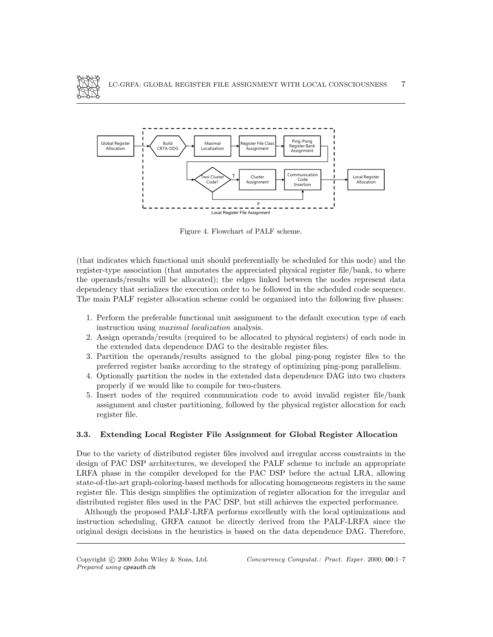

Figure 4. Flowchart of PALF scheme.

(that indicates which functional unit should preferentially be scheduled for this node) and the register-type association (that annotates the appreciated physical register file/bank, to where the operands/results will be allocated); the edges linked between the nodes represent data dependency that serializes the execution order to be followed in the scheduled code sequence. The main PALF register allocation scheme could be organized into the following five phases:

- 1. Perform the preferable functional unit assignment to the default execution type of each instruction using maximal localization analysis.
- 2. Assign operands/results (required to be allocated to physical registers) of each node in the extended data dependence DAG to the desirable register files.
- 3. Partition the operands/results assigned to the global ping-pong register files to the preferred register banks according to the strategy of optimizing ping-pong parallelism.
- 4. Optionally partition the nodes in the extended data dependence DAG into two clusters properly if we would like to compile for two-clusters.
- 5. Insert nodes of the required communication code to avoid invalid register file/bank assignment and cluster partitioning, followed by the physical register allocation for each register file.

# 3.3. Extending Local Register File Assignment for Global Register Allocation

Due to the variety of distributed register files involved and irregular access constraints in the design of PAC DSP architectures, we developed the PALF scheme to include an appropriate LRFA phase in the compiler developed for the PAC DSP before the actual LRA, allowing state-of-the-art graph-coloring-based methods for allocating homogeneous registers in the same register file. This design simplifies the optimization of register allocation for the irregular and distributed register files used in the PAC DSP, but still achieves the expected performance.

Although the proposed PALF-LRFA performs excellently with the local optimizations and instruction scheduling, GRFA cannot be directly derived from the PALF-LRFA since the original design decisions in the heuristics is based on the data dependence DAG. Therefore,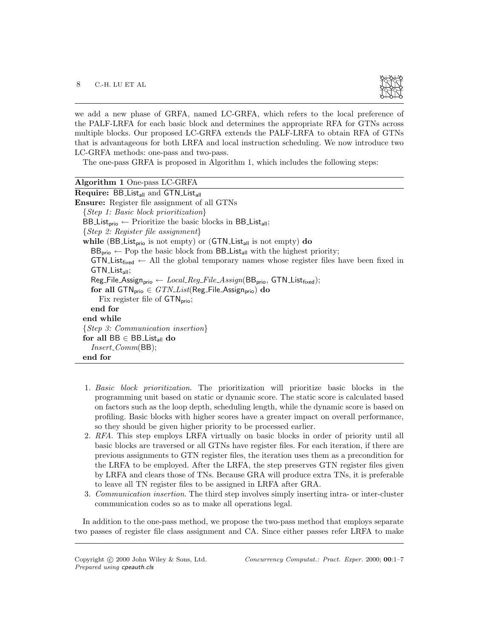

we add a new phase of GRFA, named LC-GRFA, which refers to the local preference of the PALF-LRFA for each basic block and determines the appropriate RFA for GTNs across multiple blocks. Our proposed LC-GRFA extends the PALF-LRFA to obtain RFA of GTNs that is advantageous for both LRFA and local instruction scheduling. We now introduce two LC-GRFA methods: one-pass and two-pass.

The one-pass GRFA is proposed in Algorithm 1, which includes the following steps:

Algorithm 1 One-pass LC-GRFA

| $\rm\bf Requiredair$ e: BB_List <sub>all</sub> and $\rm GTN$ _List <sub>all</sub>                                               |
|---------------------------------------------------------------------------------------------------------------------------------|
| <b>Ensure:</b> Register file assignment of all GTNs                                                                             |
| $\{Step 1: Basic block prioritization\}$                                                                                        |
| BB_List <sub>prio</sub> $\leftarrow$ Prioritize the basic blocks in BB_List <sub>all</sub> ;                                    |
| $\{Step 2: Register file assignment\}$                                                                                          |
| while (BB <sub>-</sub> List <sub>prio</sub> is not empty) or (GTN <sub>-List<sub>all</sub> is not empty) do</sub>               |
| $BB_{\text{prio}} \leftarrow$ Pop the basic block from BB_List <sub>all</sub> with the highest priority;                        |
| $GTN_{\text{L}}$ is $\epsilon_{\text{fixed}} \leftarrow$ All the global temporary names whose register files have been fixed in |
| $GTN_{\text{-}list_{all}}$                                                                                                      |
| Reg_File_Assign <sub>prio</sub> $\leftarrow LocalReg\_File\_Assign(BB_{\text{prio}}, GTN\_List_{fixed});$                       |
| for all $GTN_{\text{prio}} \in GTNList(\text{Reg-File} \_ \text{assign}_{\text{prio}})$ do                                      |
| Fix register file of $GTNprio$ ;                                                                                                |
| end for                                                                                                                         |
| end while                                                                                                                       |
| $\{Step 3: Communication insertion\}$                                                                                           |
| for all $BB \in BB$ List <sub>all</sub> do                                                                                      |
| $Insert\_Comm(BB);$                                                                                                             |
| end for                                                                                                                         |

- 1. Basic block prioritization. The prioritization will prioritize basic blocks in the programming unit based on static or dynamic score. The static score is calculated based on factors such as the loop depth, scheduling length, while the dynamic score is based on profiling. Basic blocks with higher scores have a greater impact on overall performance, so they should be given higher priority to be processed earlier.
- 2. RFA. This step employs LRFA virtually on basic blocks in order of priority until all basic blocks are traversed or all GTNs have register files. For each iteration, if there are previous assignments to GTN register files, the iteration uses them as a precondition for the LRFA to be employed. After the LRFA, the step preserves GTN register files given by LRFA and clears those of TNs. Because GRA will produce extra TNs, it is preferable to leave all TN register files to be assigned in LRFA after GRA.
- 3. Communication insertion. The third step involves simply inserting intra- or inter-cluster communication codes so as to make all operations legal.

In addition to the one-pass method, we propose the two-pass method that employs separate two passes of register file class assignment and CA. Since either passes refer LRFA to make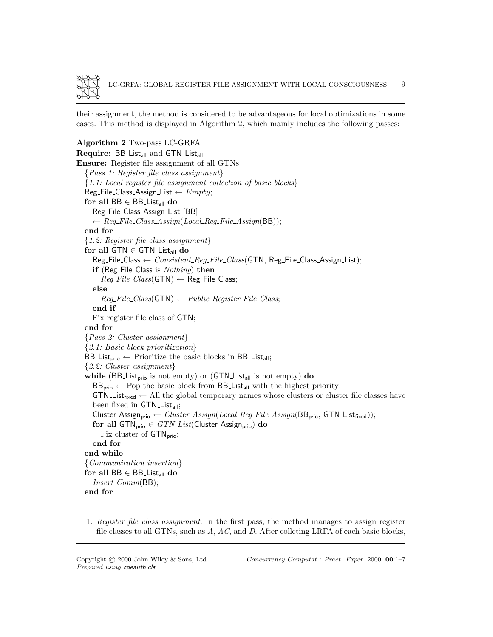

their assignment, the method is considered to be advantageous for local optimizations in some cases. This method is displayed in Algorithm 2, which mainly includes the following passes:

| Algorithm 2 Two-pass LC-GRFA                                                                                                                         |
|------------------------------------------------------------------------------------------------------------------------------------------------------|
| Require: BB_List <sub>all</sub> and GTN_List <sub>all</sub>                                                                                          |
| <b>Ensure:</b> Register file assignment of all GTNs                                                                                                  |
| ${Pass 1: Register file class assignment}$                                                                                                           |
| $\{1.1: Local register file assignment collection of basic blocks\}$                                                                                 |
| Reg_File_Class_Assign_List $\leftarrow \text{Empty};$                                                                                                |
| for all $BB \in BB$ List <sub>all</sub> do                                                                                                           |
| Reg_File_Class_Assign_List [BB]                                                                                                                      |
| $\leftarrow Reg\_File\_Class\_Assign(Local\_Reg\_File\_Assign(BB));$                                                                                 |
| end for                                                                                                                                              |
| ${1.2: Register file class assignment}$                                                                                                              |
| for all $GTN \in GTN$ List <sub>all</sub> do                                                                                                         |
| $Reg$ -File-Class $\leftarrow \textit{Consistent\_Reg\_File\_Class}(\textsf{GTN}, \textsf{Reg\_File\_Class\_Assign\_List});$                         |
| if (Reg_File_Class is <i>Nothing</i> ) then                                                                                                          |
| $Reg\_File\_Class(GTN) \leftarrow Reg\_File\_Class;$                                                                                                 |
| else                                                                                                                                                 |
| $Reg\_File\_Class(GTN) \leftarrow Public Register File Class;$                                                                                       |
| end if                                                                                                                                               |
| Fix register file class of GTN;                                                                                                                      |
| end for                                                                                                                                              |
| ${Pass 2: Cluster assignment}$                                                                                                                       |
| ${2.1: Basic block prioritization}$                                                                                                                  |
| BB_List <sub>prio</sub> $\leftarrow$ Prioritize the basic blocks in BB_List <sub>all</sub> ;                                                         |
| ${2.2: Cluster assignment}$                                                                                                                          |
| while (BB <sub>-</sub> List <sub>prio</sub> is not empty) or ( $GTN$ -List <sub>all</sub> is not empty) do                                           |
| $BB_{\text{prio}} \leftarrow$ Pop the basic block from BB_List <sub>all</sub> with the highest priority;                                             |
| $GTN$ List <sub>fixed</sub> $\leftarrow$ All the global temporary names whose clusters or cluster file classes have                                  |
| been fixed in $GTN$ -List <sub>all</sub> ;                                                                                                           |
| Cluster_Assign <sub>prio</sub> $\leftarrow$ <i>Cluster_Assign</i> ( <i>Local_Reg_File_Assign</i> (BB <sub>prio</sub> , GTN_List <sub>fixed</sub> )); |
| for all $GTN_{\text{prio}} \in GTN_{\text{L}ist}(Cluster\text{-}Assign_{\text{prio}})$ do                                                            |
| Fix cluster of GTN <sub>prio</sub> ;                                                                                                                 |
| end for                                                                                                                                              |
| end while                                                                                                                                            |
| ${Communication}$ insertion $}$                                                                                                                      |
| for all $\mathsf{BB} \in \mathsf{BB}\_\mathsf{List}_\mathsf{all}$ do<br>$Insert\_Comm(BB);$                                                          |
| end for                                                                                                                                              |
|                                                                                                                                                      |

1. Register file class assignment. In the first pass, the method manages to assign register file classes to all GTNs, such as A, AC, and D. After colleting LRFA of each basic blocks,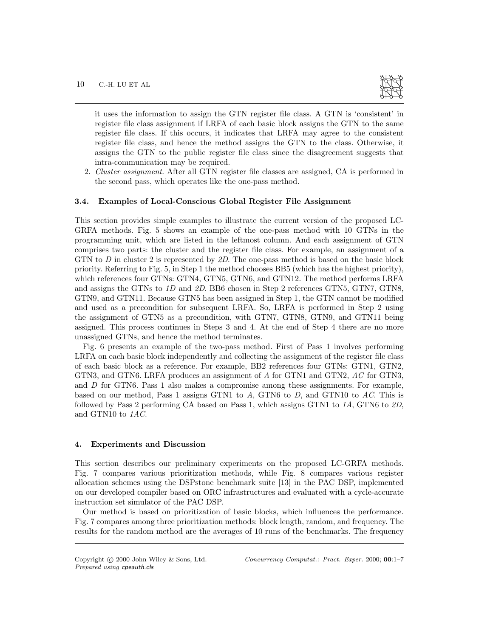

it uses the information to assign the GTN register file class. A GTN is 'consistent' in register file class assignment if LRFA of each basic block assigns the GTN to the same register file class. If this occurs, it indicates that LRFA may agree to the consistent register file class, and hence the method assigns the GTN to the class. Otherwise, it assigns the GTN to the public register file class since the disagreement suggests that intra-communication may be required.

2. Cluster assignment. After all GTN register file classes are assigned, CA is performed in the second pass, which operates like the one-pass method.

# 3.4. Examples of Local-Conscious Global Register File Assignment

This section provides simple examples to illustrate the current version of the proposed LC-GRFA methods. Fig. 5 shows an example of the one-pass method with 10 GTNs in the programming unit, which are listed in the leftmost column. And each assignment of GTN comprises two parts: the cluster and the register file class. For example, an assignment of a GTN to D in cluster 2 is represented by  $2D$ . The one-pass method is based on the basic block priority. Referring to Fig. 5, in Step 1 the method chooses BB5 (which has the highest priority), which references four GTNs: GTN4, GTN5, GTN6, and GTN12. The method performs LRFA and assigns the GTNs to 1D and 2D. BB6 chosen in Step 2 references GTN5, GTN7, GTN8, GTN9, and GTN11. Because GTN5 has been assigned in Step 1, the GTN cannot be modified and used as a precondition for subsequent LRFA. So, LRFA is performed in Step 2 using the assignment of GTN5 as a precondition, with GTN7, GTN8, GTN9, and GTN11 being assigned. This process continues in Steps 3 and 4. At the end of Step 4 there are no more unassigned GTNs, and hence the method terminates.

Fig. 6 presents an example of the two-pass method. First of Pass 1 involves performing LRFA on each basic block independently and collecting the assignment of the register file class of each basic block as a reference. For example, BB2 references four GTNs: GTN1, GTN2, GTN3, and GTN6. LRFA produces an assignment of A for GTN1 and GTN2, AC for GTN3, and D for GTN6. Pass 1 also makes a compromise among these assignments. For example, based on our method, Pass 1 assigns GTN1 to  $A$ , GTN6 to  $D$ , and GTN10 to  $AC$ . This is followed by Pass 2 performing CA based on Pass 1, which assigns GTN1 to 1A, GTN6 to 2D, and GTN10 to 1AC.

#### 4. Experiments and Discussion

This section describes our preliminary experiments on the proposed LC-GRFA methods. Fig. 7 compares various prioritization methods, while Fig. 8 compares various register allocation schemes using the DSPstone benchmark suite [13] in the PAC DSP, implemented on our developed compiler based on ORC infrastructures and evaluated with a cycle-accurate instruction set simulator of the PAC DSP.

Our method is based on prioritization of basic blocks, which influences the performance. Fig. 7 compares among three prioritization methods: block length, random, and frequency. The results for the random method are the averages of 10 runs of the benchmarks. The frequency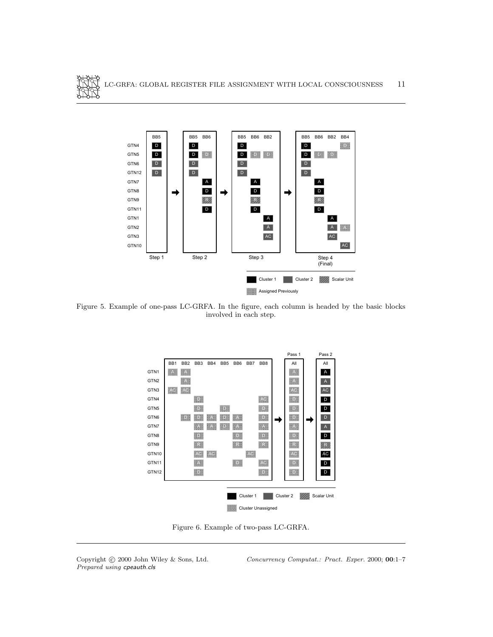



Figure 5. Example of one-pass LC-GRFA. In the figure, each column is headed by the basic blocks involved in each step.



Figure 6. Example of two-pass LC-GRFA.

Copyright © 2000 John Wiley & Sons, Ltd. Concurrency Computat.: Pract. Exper. 2000; 00:1–7 Prepared using cpeauth.cls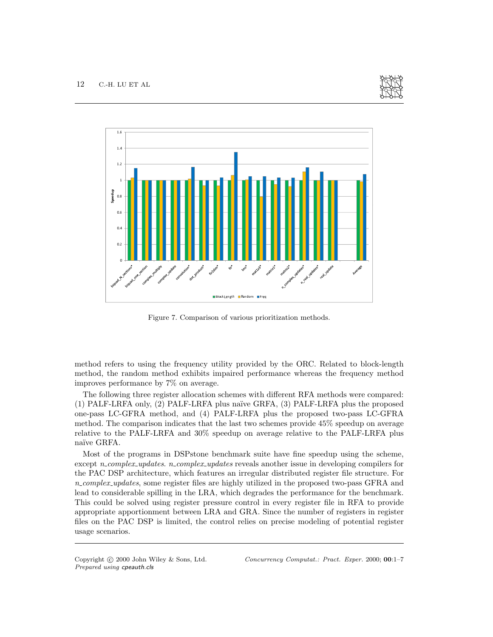



Figure 7. Comparison of various prioritization methods.

method refers to using the frequency utility provided by the ORC. Related to block-length method, the random method exhibits impaired performance whereas the frequency method improves performance by 7% on average.

The following three register allocation schemes with different RFA methods were compared: (1) PALF-LRFA only, (2) PALF-LRFA plus na¨ıve GRFA, (3) PALF-LRFA plus the proposed one-pass LC-GFRA method, and (4) PALF-LRFA plus the proposed two-pass LC-GFRA method. The comparison indicates that the last two schemes provide 45% speedup on average relative to the PALF-LRFA and 30% speedup on average relative to the PALF-LRFA plus naïve GRFA.

Most of the programs in DSPstone benchmark suite have fine speedup using the scheme, except n\_complex\_updates. n\_complex\_updates reveals another issue in developing compilers for the PAC DSP architecture, which features an irregular distributed register file structure. For n complex updates, some register files are highly utilized in the proposed two-pass GFRA and lead to considerable spilling in the LRA, which degrades the performance for the benchmark. This could be solved using register pressure control in every register file in RFA to provide appropriate apportionment between LRA and GRA. Since the number of registers in register files on the PAC DSP is limited, the control relies on precise modeling of potential register usage scenarios.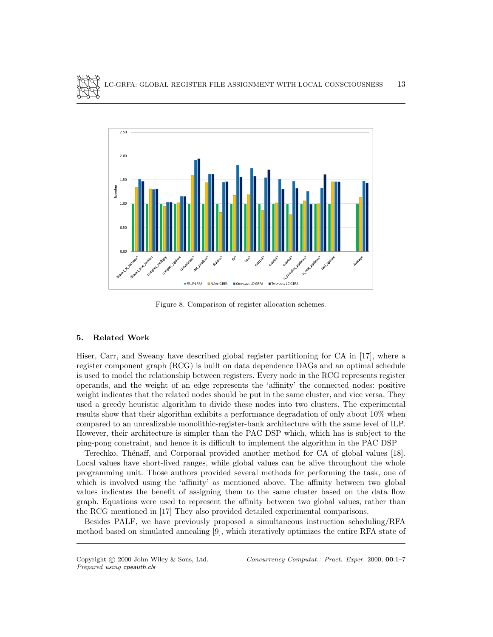



Figure 8. Comparison of register allocation schemes.

## 5. Related Work

Hiser, Carr, and Sweany have described global register partitioning for CA in [17], where a register component graph (RCG) is built on data dependence DAGs and an optimal schedule is used to model the relationship between registers. Every node in the RCG represents register operands, and the weight of an edge represents the 'affinity' the connected nodes: positive weight indicates that the related nodes should be put in the same cluster, and vice versa. They used a greedy heuristic algorithm to divide these nodes into two clusters. The experimental results show that their algorithm exhibits a performance degradation of only about 10% when compared to an unrealizable monolithic-register-bank architecture with the same level of ILP. However, their architecture is simpler than the PAC DSP which, which has is subject to the ping-pong constraint, and hence it is difficult to implement the algorithm in the PAC DSP

Terechko, Thénaff, and Corporaal provided another method for CA of global values [18]. Local values have short-lived ranges, while global values can be alive throughout the whole programming unit. Those authors provided several methods for performing the task, one of which is involved using the 'affinity' as mentioned above. The affinity between two global values indicates the benefit of assigning them to the same cluster based on the data flow graph. Equations were used to represent the affinity between two global values, rather than the RCG mentioned in [17] They also provided detailed experimental comparisons.

Besides PALF, we have previously proposed a simultaneous instruction scheduling/RFA method based on simulated annealing [9], which iteratively optimizes the entire RFA state of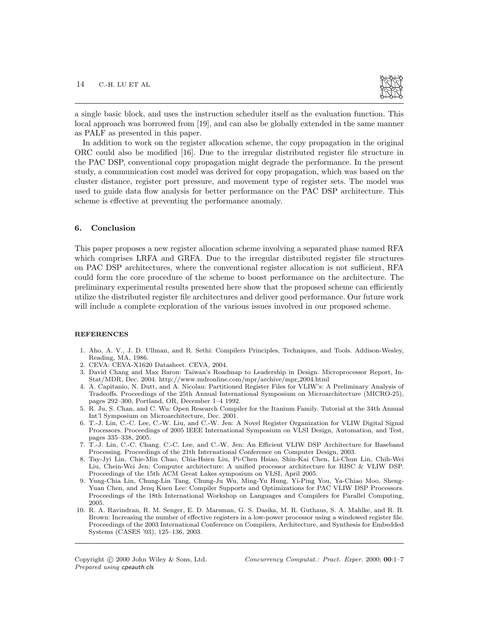

a single basic block, and uses the instruction scheduler itself as the evaluation function. This local approach was borrowed from [19], and can also be globally extended in the same manner as PALF as presented in this paper.

In addition to work on the register allocation scheme, the copy propagation in the original ORC could also be modified [16]. Due to the irregular distributed register file structure in the PAC DSP, conventional copy propagation might degrade the performance. In the present study, a communication cost model was derived for copy propagation, which was based on the cluster distance, register port pressure, and movement type of register sets. The model was used to guide data flow analysis for better performance on the PAC DSP architecture. This scheme is effective at preventing the performance anomaly.

#### 6. Conclusion

This paper proposes a new register allocation scheme involving a separated phase named RFA which comprises LRFA and GRFA. Due to the irregular distributed register file structures on PAC DSP architectures, where the conventional register allocation is not sufficient, RFA could form the core procedure of the scheme to boost performance on the architecture. The preliminary experimental results presented here show that the proposed scheme can efficiently utilize the distributed register file architectures and deliver good performance. Our future work will include a complete exploration of the various issues involved in our proposed scheme.

#### REFERENCES

- 1. Aho, A. V., J. D. Ullman, and R. Sethi: Compilers Principles, Techniques, and Tools. Addison-Wesley, Reading, MA, 1986.
- 2. CEVA: CEVA-X1620 Datasheet. CEVA, 2004.
- 3. David Chang and Max Baron: Taiwan's Roadmap to Leadership in Design. Microprocessor Report, In-Stat/MDR, Dec. 2004. http://www.mdronline.com/mpr/archive/mpr 2004.html
- 4. A. Capitanio, N. Dutt, and A. Nicolau: Partitioned Register Files for VLIW's: A Preliminary Analysis of Tradeoffs. Proceedings of the 25th Annual International Symposium on Microarchitecture (MICRO-25), pages 292–300, Portland, OR, December 1–4 1992.
- 5. R. Ju, S. Chan, and C. Wu: Open Research Compiler for the Itanium Family. Tutorial at the 34th Annual Int'l Symposium on Microarchitecture, Dec. 2001.
- 6. T.-J. Lin, C.-C. Lee, C.-W. Liu, and C.-W. Jen: A Novel Register Organization for VLIW Digital Signal Processors. Proceedings of 2005 IEEE International Symposium on VLSI Design, Automation, and Test, pages 335–338, 2005.
- 7. T.-J. Lin, C.-C. Chang. C.-C. Lee, and C.-W. Jen: An Efficient VLIW DSP Architecture for Baseband Processing. Proceedings of the 21th International Conference on Computer Design, 2003.
- 8. Tay-Jyi Lin, Chie-Min Chao, Chia-Hsien Liu, Pi-Chen Hsiao, Shin-Kai Chen, Li-Chun Lin, Chih-Wei Liu, Chein-Wei Jen: Computer architecture: A unified processor architecture for RISC & VLIW DSP. Proceedings of the 15th ACM Great Lakes symposium on VLSI, April 2005.
- 9. Yung-Chia Lin, Chung-Lin Tang, Chung-Ju Wu, Ming-Yu Hung, Yi-Ping You, Ya-Chiao Moo, Sheng-Yuan Chen, and Jenq Kuen Lee: Compiler Supports and Optimizations for PAC VLIW DSP Processors. Proceedings of the 18th International Workshop on Languages and Compilers for Parallel Computing, 2005.
- 10. R. A. Ravindran, R. M. Senger, E. D. Marsman, G. S. Dasika, M. R. Guthaus, S. A. Mahlke, and R. B. Brown: Increasing the number of effective registers in a low-power processor using a windowed register file. Proceedings of the 2003 International Conference on Compilers, Architecture, and Synthesis for Embedded Systems (CASES '03), 125–136, 2003.